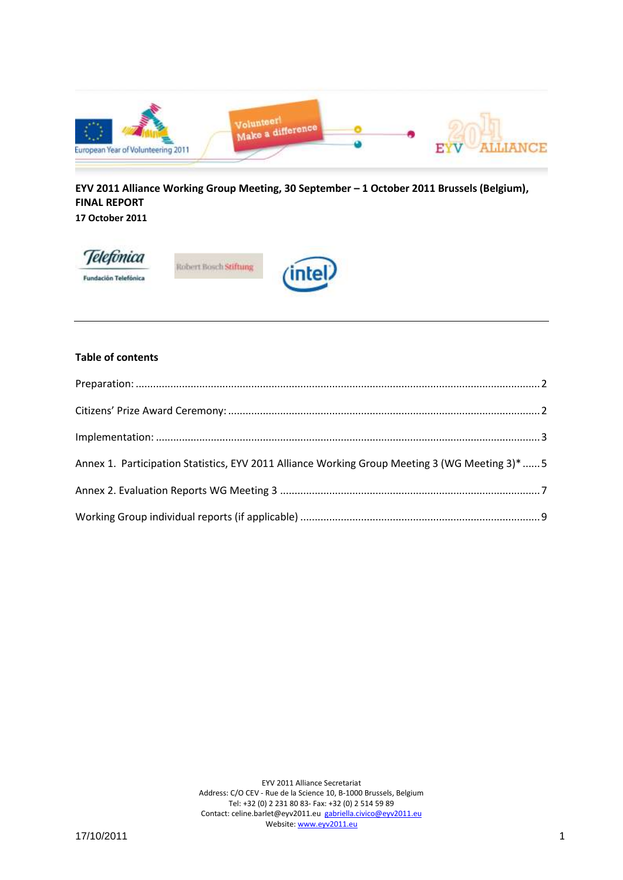

**EYV 2011 Alliance Working Group Meeting, 30 September – 1 October 2011 Brussels (Belgium), FINAL REPORT**

**17 October 2011**



#### **Table of contents**

| Annex 1. Participation Statistics, EYV 2011 Alliance Working Group Meeting 3 (WG Meeting 3)*  5 |  |
|-------------------------------------------------------------------------------------------------|--|
|                                                                                                 |  |
|                                                                                                 |  |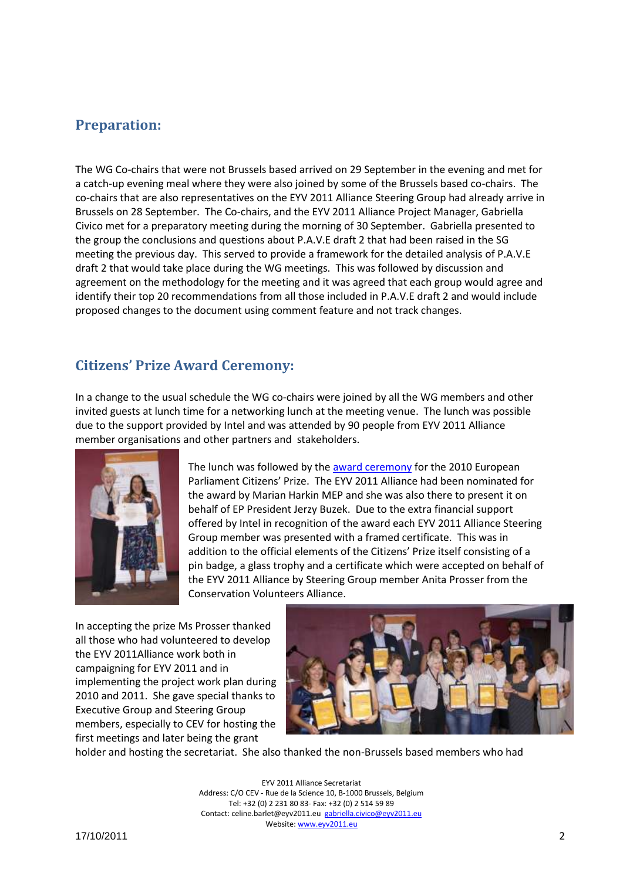## <span id="page-1-0"></span>**Preparation:**

The WG Co-chairs that were not Brussels based arrived on 29 September in the evening and met for a catch-up evening meal where they were also joined by some of the Brussels based co-chairs. The co-chairs that are also representatives on the EYV 2011 Alliance Steering Group had already arrive in Brussels on 28 September. The Co-chairs, and the EYV 2011 Alliance Project Manager, Gabriella Civico met for a preparatory meeting during the morning of 30 September. Gabriella presented to the group the conclusions and questions about P.A.V.E draft 2 that had been raised in the SG meeting the previous day. This served to provide a framework for the detailed analysis of P.A.V.E draft 2 that would take place during the WG meetings. This was followed by discussion and agreement on the methodology for the meeting and it was agreed that each group would agree and identify their top 20 recommendations from all those included in P.A.V.E draft 2 and would include proposed changes to the document using comment feature and not track changes.

# <span id="page-1-1"></span>**Citizens' Prize Award Ceremony:**

In a change to the usual schedule the WG co-chairs were joined by all the WG members and other invited guests at lunch time for a networking lunch at the meeting venue. The lunch was possible due to the support provided by Intel and was attended by 90 people from EYV 2011 Alliance member organisations and other partners and stakeholders.



The lunch was followed by the [award ceremony](http://www.facebook.com/media/set/?set=a.281727415172730.78561.212863205392485&l=abb7b35b4e&type=1) for the 2010 European Parliament Citizens' Prize. The EYV 2011 Alliance had been nominated for the award by Marian Harkin MEP and she was also there to present it on behalf of EP President Jerzy Buzek. Due to the extra financial support offered by Intel in recognition of the award each EYV 2011 Alliance Steering Group member was presented with a framed certificate. This was in addition to the official elements of the Citizens' Prize itself consisting of a pin badge, a glass trophy and a certificate which were accepted on behalf of the EYV 2011 Alliance by Steering Group member Anita Prosser from the Conservation Volunteers Alliance.

In accepting the prize Ms Prosser thanked all those who had volunteered to develop the EYV 2011Alliance work both in campaigning for EYV 2011 and in implementing the project work plan during 2010 and 2011. She gave special thanks to Executive Group and Steering Group members, especially to CEV for hosting the first meetings and later being the grant



holder and hosting the secretariat. She also thanked the non-Brussels based members who had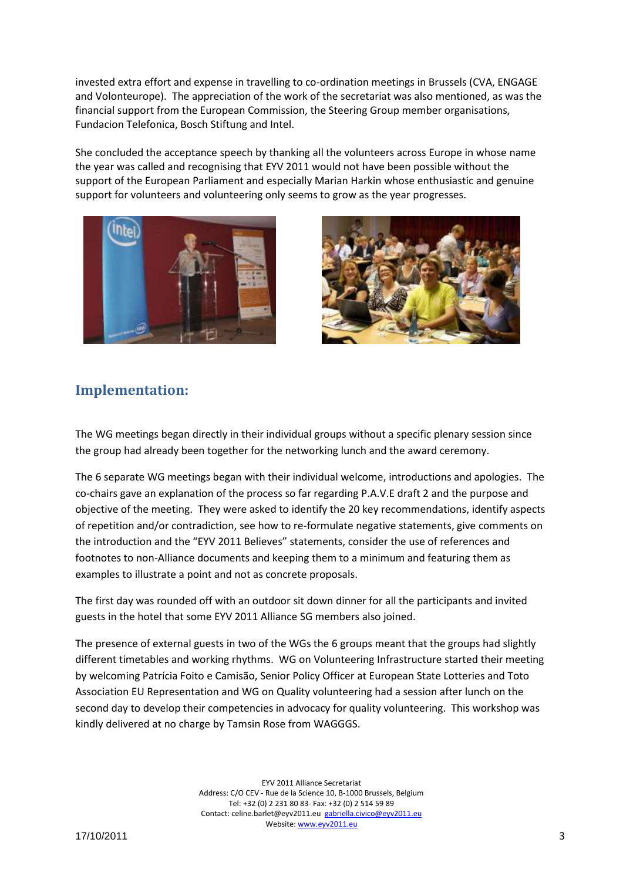invested extra effort and expense in travelling to co-ordination meetings in Brussels (CVA, ENGAGE and Volonteurope). The appreciation of the work of the secretariat was also mentioned, as was the financial support from the European Commission, the Steering Group member organisations, Fundacion Telefonica, Bosch Stiftung and Intel.

She concluded the acceptance speech by thanking all the volunteers across Europe in whose name the year was called and recognising that EYV 2011 would not have been possible without the support of the European Parliament and especially Marian Harkin whose enthusiastic and genuine support for volunteers and volunteering only seems to grow as the year progresses.





## <span id="page-2-0"></span>**Implementation:**

The WG meetings began directly in their individual groups without a specific plenary session since the group had already been together for the networking lunch and the award ceremony.

The 6 separate WG meetings began with their individual welcome, introductions and apologies. The co-chairs gave an explanation of the process so far regarding P.A.V.E draft 2 and the purpose and objective of the meeting. They were asked to identify the 20 key recommendations, identify aspects of repetition and/or contradiction, see how to re-formulate negative statements, give comments on the introduction and the "EYV 2011 Believes" statements, consider the use of references and footnotes to non-Alliance documents and keeping them to a minimum and featuring them as examples to illustrate a point and not as concrete proposals.

The first day was rounded off with an outdoor sit down dinner for all the participants and invited guests in the hotel that some EYV 2011 Alliance SG members also joined.

The presence of external guests in two of the WGs the 6 groups meant that the groups had slightly different timetables and working rhythms. WG on Volunteering Infrastructure started their meeting by welcoming Patrícia Foito e Camisão, Senior Policy Officer at European State Lotteries and Toto Association EU Representation and WG on Quality volunteering had a session after lunch on the second day to develop their competencies in advocacy for quality volunteering. This workshop was kindly delivered at no charge by Tamsin Rose from WAGGGS.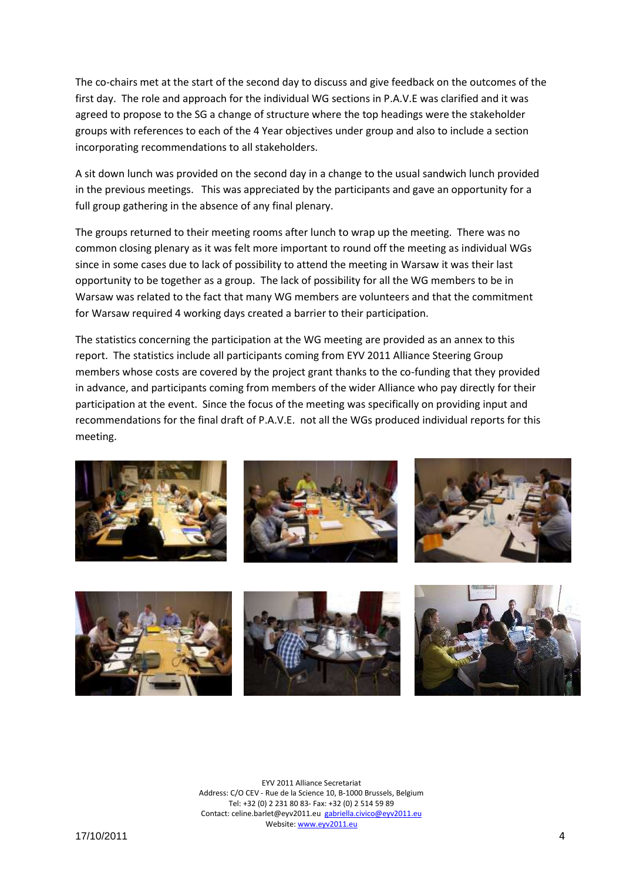The co-chairs met at the start of the second day to discuss and give feedback on the outcomes of the first day. The role and approach for the individual WG sections in P.A.V.E was clarified and it was agreed to propose to the SG a change of structure where the top headings were the stakeholder groups with references to each of the 4 Year objectives under group and also to include a section incorporating recommendations to all stakeholders.

A sit down lunch was provided on the second day in a change to the usual sandwich lunch provided in the previous meetings. This was appreciated by the participants and gave an opportunity for a full group gathering in the absence of any final plenary.

The groups returned to their meeting rooms after lunch to wrap up the meeting. There was no common closing plenary as it was felt more important to round off the meeting as individual WGs since in some cases due to lack of possibility to attend the meeting in Warsaw it was their last opportunity to be together as a group. The lack of possibility for all the WG members to be in Warsaw was related to the fact that many WG members are volunteers and that the commitment for Warsaw required 4 working days created a barrier to their participation.

The statistics concerning the participation at the WG meeting are provided as an annex to this report. The statistics include all participants coming from EYV 2011 Alliance Steering Group members whose costs are covered by the project grant thanks to the co-funding that they provided in advance, and participants coming from members of the wider Alliance who pay directly for their participation at the event. Since the focus of the meeting was specifically on providing input and recommendations for the final draft of P.A.V.E. not all the WGs produced individual reports for this meeting.



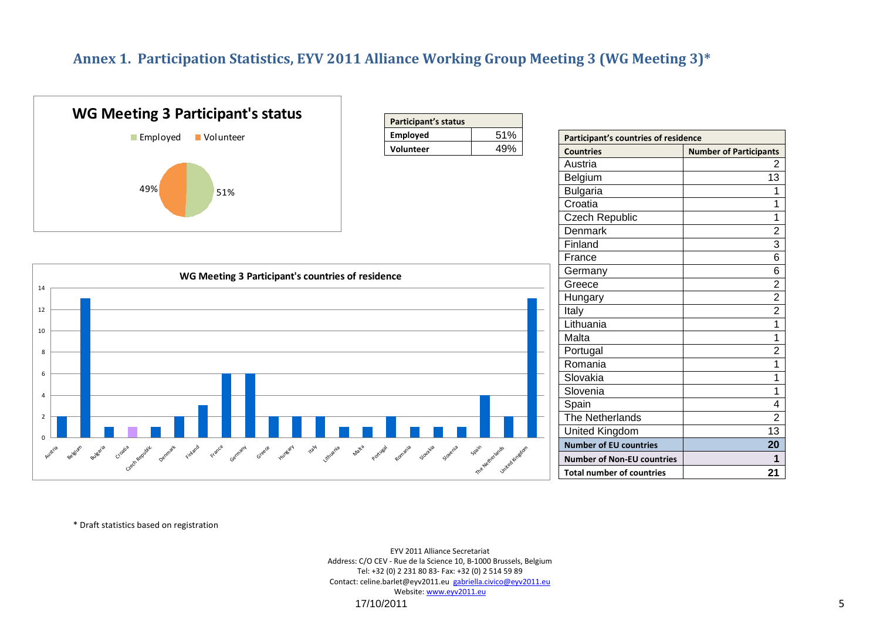## **Annex 1. Participation Statistics, EYV 2011 Alliance Working Group Meeting 3 (WG Meeting 3)\***

<span id="page-4-0"></span>

\* Draft statistics based on registration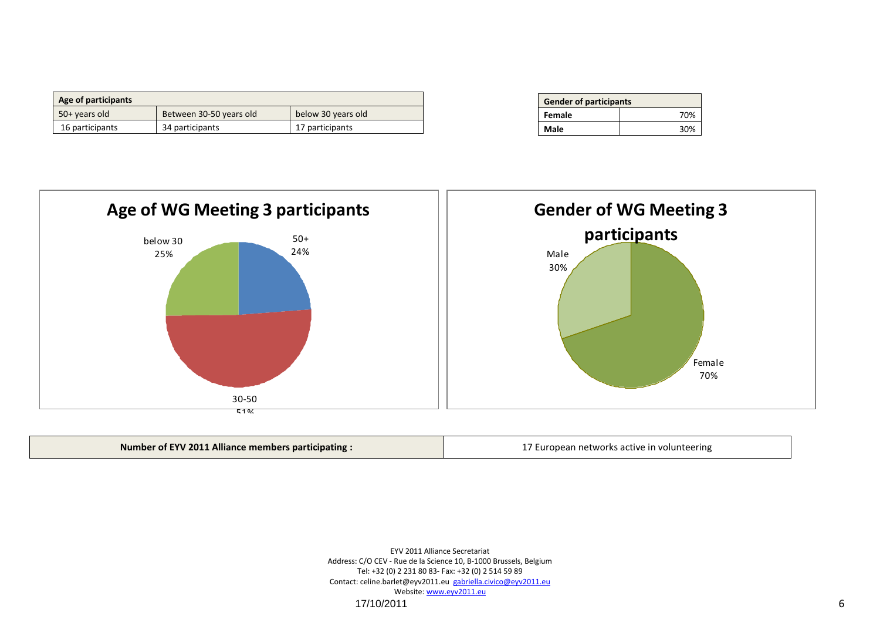| Age of participants |                         |                    |
|---------------------|-------------------------|--------------------|
| 50+ years old       | Between 30-50 years old | below 30 years old |
| 16 participants     | 34 participants         | 17 participants    |

| <b>Gender of participants</b> |     |  |
|-------------------------------|-----|--|
| Female                        | 70% |  |
| Male                          | 30% |  |



| Number of EYV 2011 Alliance members participating : | 17 European networks active in volunteering |
|-----------------------------------------------------|---------------------------------------------|
|-----------------------------------------------------|---------------------------------------------|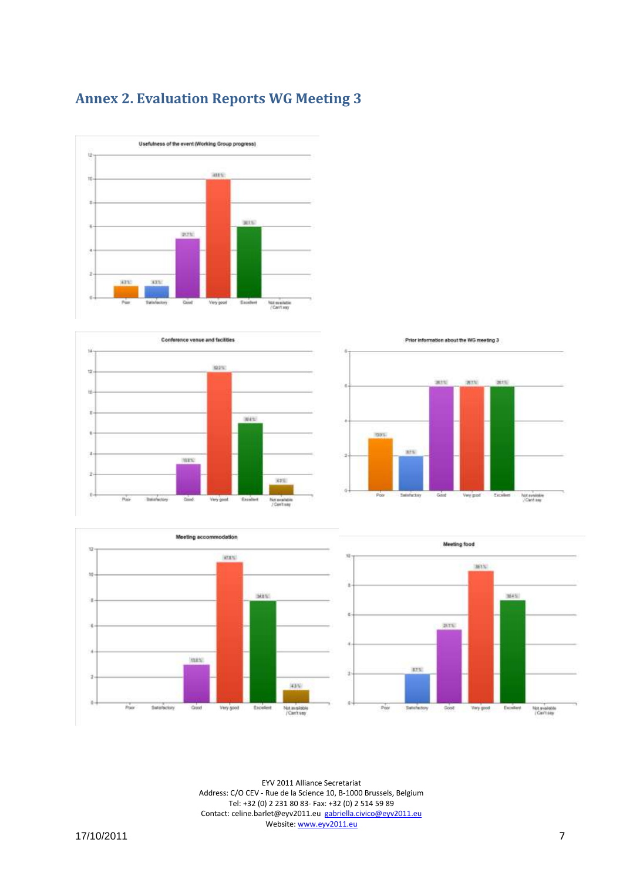<span id="page-6-0"></span>







Prior information about the WG meeting 3

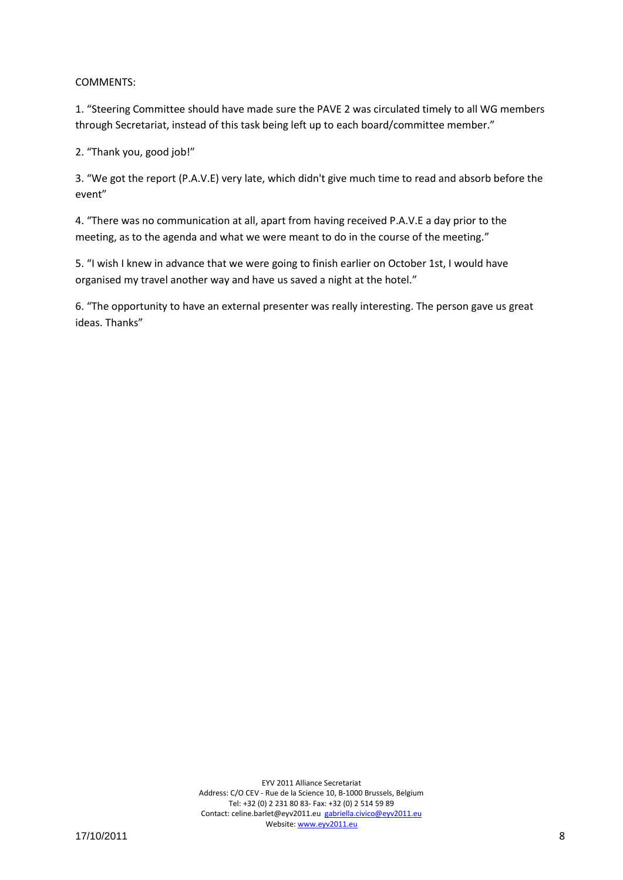### COMMENTS:

1. "Steering Committee should have made sure the PAVE 2 was circulated timely to all WG members through Secretariat, instead of this task being left up to each board/committee member."

2. "Thank you, good job!"

3. "We got the report (P.A.V.E) very late, which didn't give much time to read and absorb before the event"

4. "There was no communication at all, apart from having received P.A.V.E a day prior to the meeting, as to the agenda and what we were meant to do in the course of the meeting."

5. "I wish I knew in advance that we were going to finish earlier on October 1st, I would have organised my travel another way and have us saved a night at the hotel."

6. "The opportunity to have an external presenter was really interesting. The person gave us great ideas. Thanks"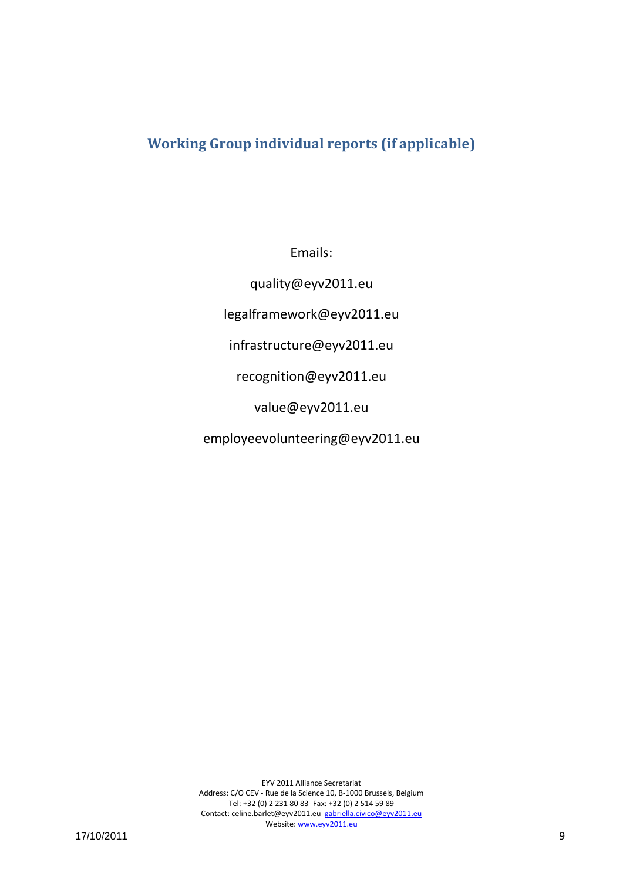# <span id="page-8-0"></span>**Working Group individual reports (if applicable)**

Emails:

quality@eyv2011.eu legalframework@eyv2011.eu infrastructure@eyv2011.eu

recognition@eyv2011.eu

value@eyv2011.eu

employeevolunteering@eyv2011.eu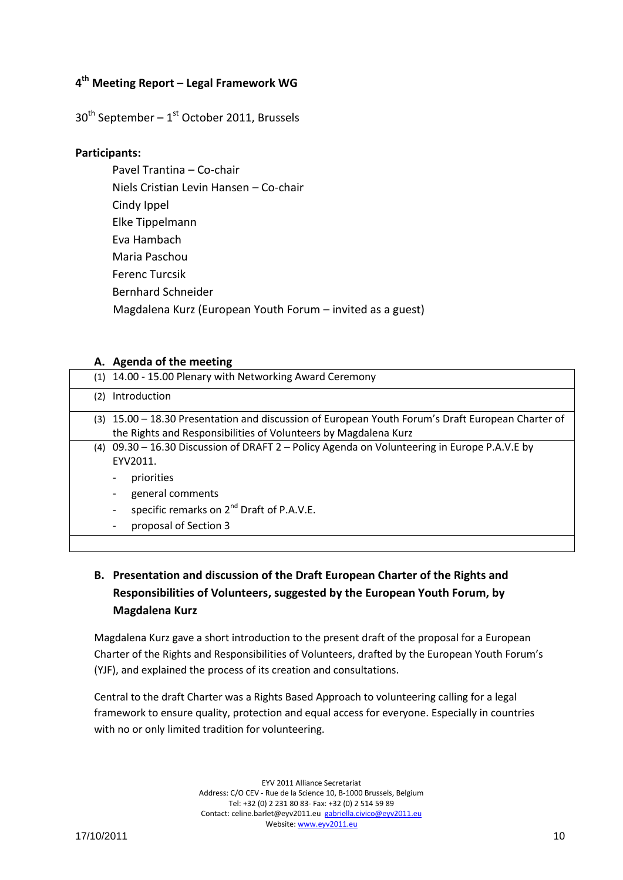## **4 th Meeting Report – Legal Framework WG**

 $30<sup>th</sup>$  September – 1<sup>st</sup> October 2011, Brussels

### **Participants:**

Pavel Trantina – Co-chair Niels Cristian Levin Hansen – Co-chair Cindy Ippel Elke Tippelmann Eva Hambach Maria Paschou Ferenc Turcsik Bernhard Schneider Magdalena Kurz (European Youth Forum – invited as a guest)

### **A. Agenda of the meeting**

| (1) 14.00 - 15.00 Plenary with Networking Award Ceremony                                                                                                                                                                                                           |                                                                                                   |
|--------------------------------------------------------------------------------------------------------------------------------------------------------------------------------------------------------------------------------------------------------------------|---------------------------------------------------------------------------------------------------|
| Introduction<br>(2)                                                                                                                                                                                                                                                |                                                                                                   |
| the Rights and Responsibilities of Volunteers by Magdalena Kurz                                                                                                                                                                                                    | (3) 15.00 - 18.30 Presentation and discussion of European Youth Forum's Draft European Charter of |
| (4) 09.30 - 16.30 Discussion of DRAFT 2 - Policy Agenda on Volunteering in Europe P.A.V.E by<br>EYV2011.<br>priorities<br>general comments<br>-<br>specific remarks on 2 <sup>nd</sup> Draft of P.A.V.E.<br>$\overline{\phantom{0}}$<br>proposal of Section 3<br>- |                                                                                                   |

## **B. Presentation and discussion of the Draft European Charter of the Rights and Responsibilities of Volunteers, suggested by the European Youth Forum, by Magdalena Kurz**

Magdalena Kurz gave a short introduction to the present draft of the proposal for a European Charter of the Rights and Responsibilities of Volunteers, drafted by the European Youth Forum's (YJF), and explained the process of its creation and consultations.

Central to the draft Charter was a Rights Based Approach to volunteering calling for a legal framework to ensure quality, protection and equal access for everyone. Especially in countries with no or only limited tradition for volunteering.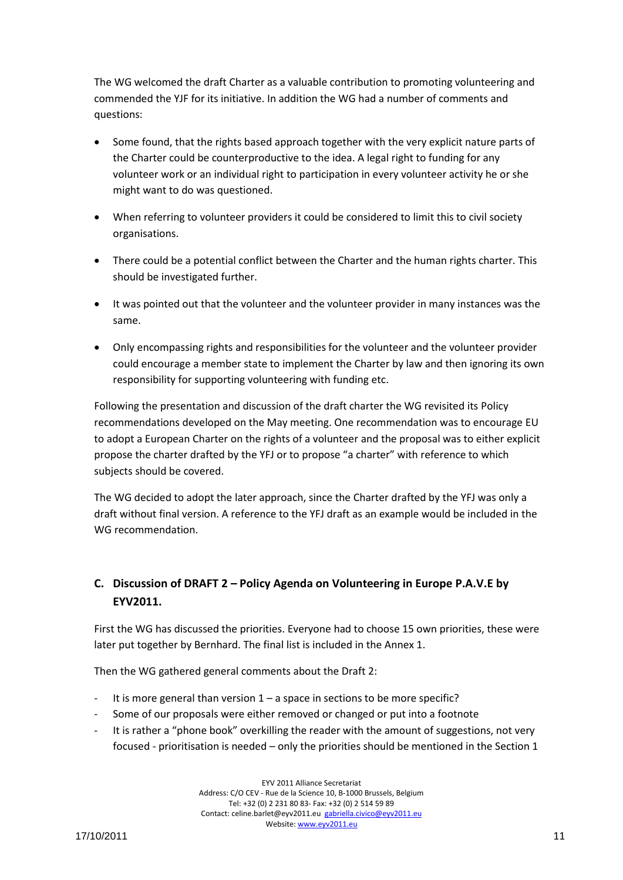The WG welcomed the draft Charter as a valuable contribution to promoting volunteering and commended the YJF for its initiative. In addition the WG had a number of comments and questions:

- Some found, that the rights based approach together with the very explicit nature parts of the Charter could be counterproductive to the idea. A legal right to funding for any volunteer work or an individual right to participation in every volunteer activity he or she might want to do was questioned.
- When referring to volunteer providers it could be considered to limit this to civil society organisations.
- There could be a potential conflict between the Charter and the human rights charter. This should be investigated further.
- It was pointed out that the volunteer and the volunteer provider in many instances was the same.
- Only encompassing rights and responsibilities for the volunteer and the volunteer provider could encourage a member state to implement the Charter by law and then ignoring its own responsibility for supporting volunteering with funding etc.

Following the presentation and discussion of the draft charter the WG revisited its Policy recommendations developed on the May meeting. One recommendation was to encourage EU to adopt a European Charter on the rights of a volunteer and the proposal was to either explicit propose the charter drafted by the YFJ or to propose "a charter" with reference to which subjects should be covered.

The WG decided to adopt the later approach, since the Charter drafted by the YFJ was only a draft without final version. A reference to the YFJ draft as an example would be included in the WG recommendation.

## **C. Discussion of DRAFT 2 – Policy Agenda on Volunteering in Europe P.A.V.E by EYV2011.**

First the WG has discussed the priorities. Everyone had to choose 15 own priorities, these were later put together by Bernhard. The final list is included in the Annex 1.

Then the WG gathered general comments about the Draft 2:

- It is more general than version  $1 a$  space in sections to be more specific?
- Some of our proposals were either removed or changed or put into a footnote
- It is rather a "phone book" overkilling the reader with the amount of suggestions, not very focused - prioritisation is needed – only the priorities should be mentioned in the Section 1